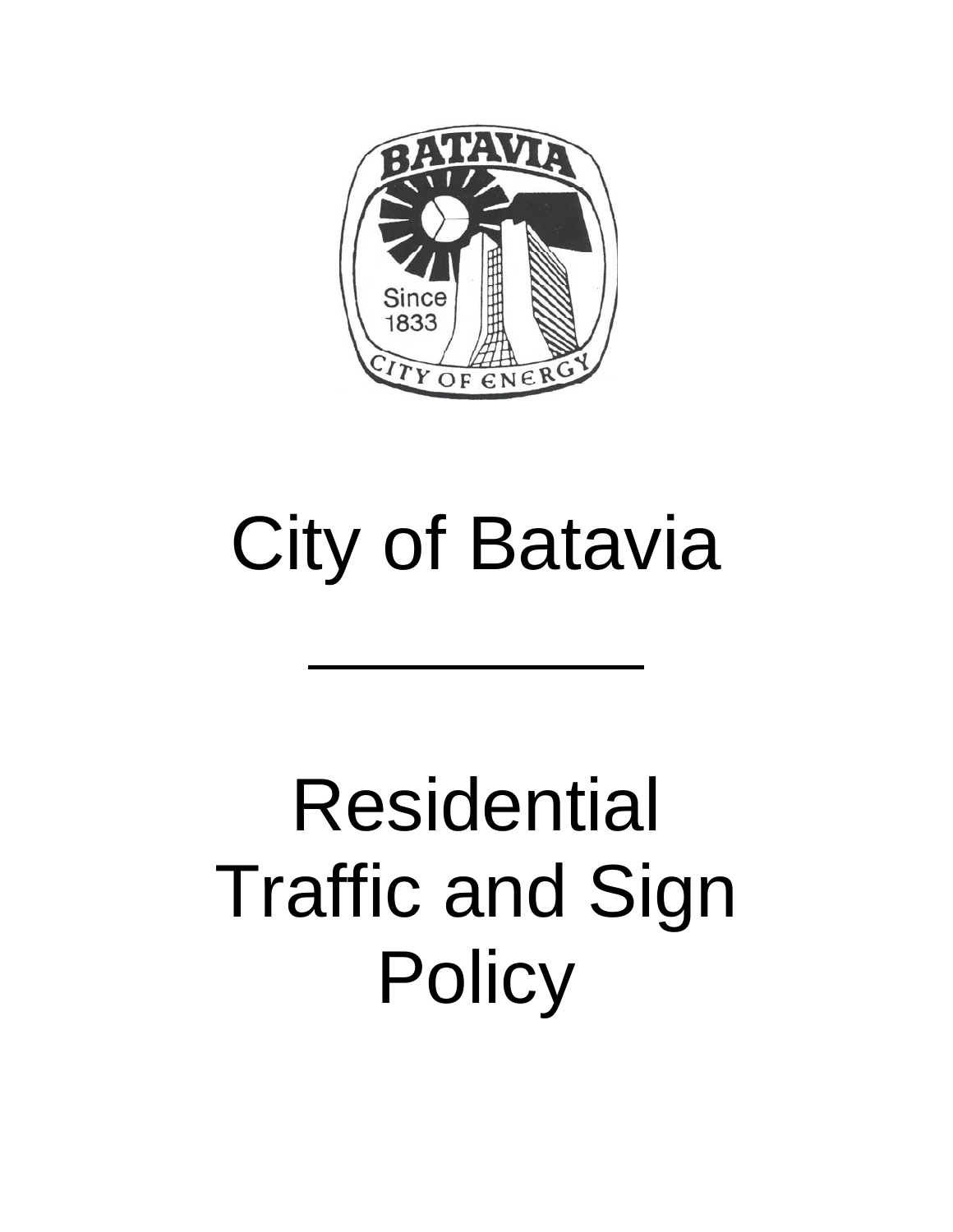

# City of Batavia

 $\overline{a}$ 

# Residential Traffic and Sign **Policy**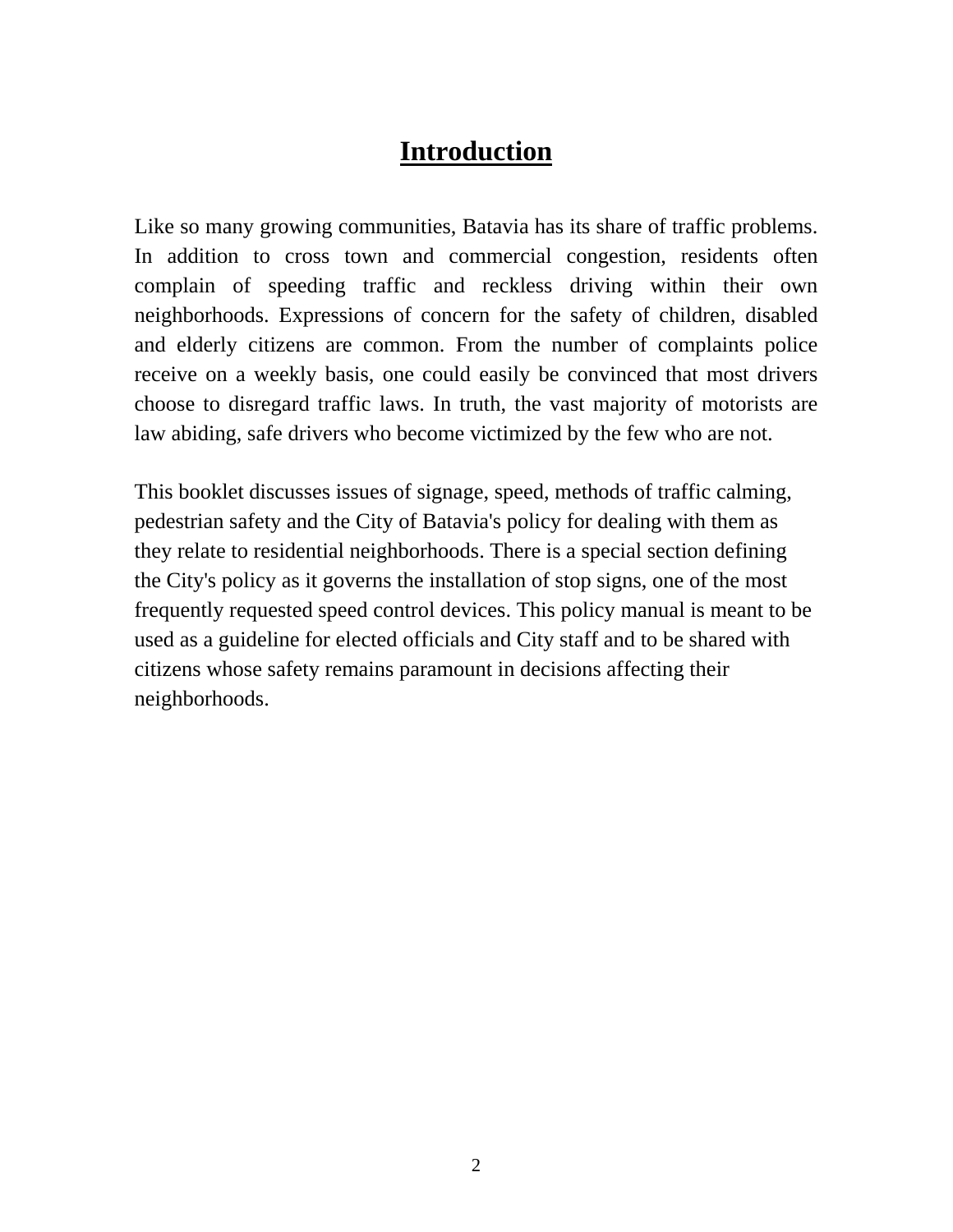#### **Introduction**

Like so many growing communities, Batavia has its share of traffic problems. In addition to cross town and commercial congestion, residents often complain of speeding traffic and reckless driving within their own neighborhoods. Expressions of concern for the safety of children, disabled and elderly citizens are common. From the number of complaints police receive on a weekly basis, one could easily be convinced that most drivers choose to disregard traffic laws. In truth, the vast majority of motorists are law abiding, safe drivers who become victimized by the few who are not.

This booklet discusses issues of signage, speed, methods of traffic calming, pedestrian safety and the City of Batavia's policy for dealing with them as they relate to residential neighborhoods. There is a special section defining the City's policy as it governs the installation of stop signs, one of the most frequently requested speed control devices. This policy manual is meant to be used as a guideline for elected officials and City staff and to be shared with citizens whose safety remains paramount in decisions affecting their neighborhoods.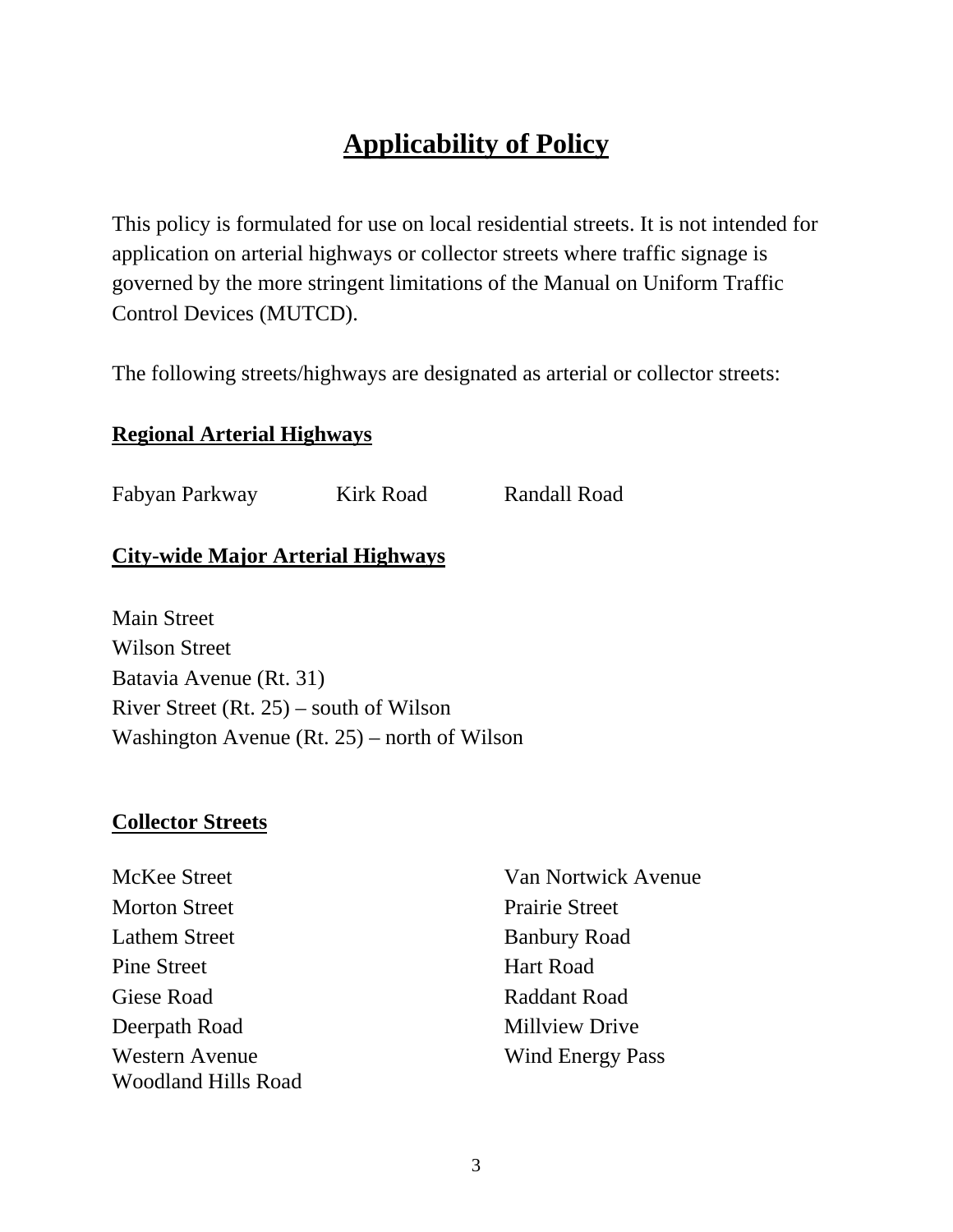## **Applicability of Policy**

This policy is formulated for use on local residential streets. It is not intended for application on arterial highways or collector streets where traffic signage is governed by the more stringent limitations of the Manual on Uniform Traffic Control Devices (MUTCD).

The following streets/highways are designated as arterial or collector streets:

#### **Regional Arterial Highways**

Fabyan Parkway Kirk Road Randall Road

#### **City-wide Major Arterial Highways**

Main Street Wilson Street Batavia Avenue (Rt. 31) River Street (Rt. 25) – south of Wilson Washington Avenue (Rt. 25) – north of Wilson

#### **Collector Streets**

- Morton Street Prairie Street Lathem Street Banbury Road Pine Street Hart Road Giese Road Raddant Road Deerpath Road Millyiew Drive Western Avenue Wind Energy Pass Woodland Hills Road
- McKee Street Van Nortwick Avenue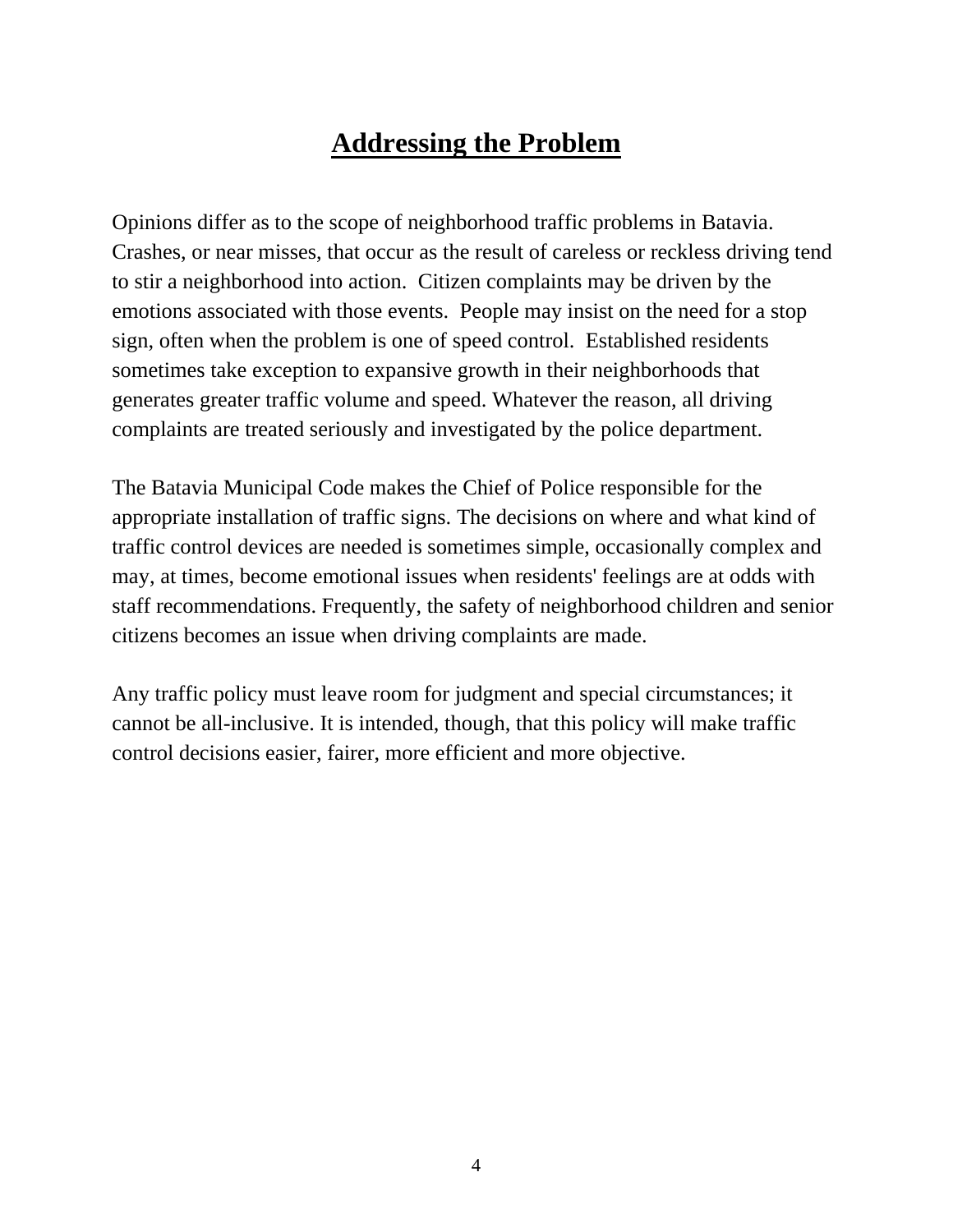### **Addressing the Problem**

Opinions differ as to the scope of neighborhood traffic problems in Batavia. Crashes, or near misses, that occur as the result of careless or reckless driving tend to stir a neighborhood into action. Citizen complaints may be driven by the emotions associated with those events. People may insist on the need for a stop sign, often when the problem is one of speed control. Established residents sometimes take exception to expansive growth in their neighborhoods that generates greater traffic volume and speed. Whatever the reason, all driving complaints are treated seriously and investigated by the police department.

The Batavia Municipal Code makes the Chief of Police responsible for the appropriate installation of traffic signs. The decisions on where and what kind of traffic control devices are needed is sometimes simple, occasionally complex and may, at times, become emotional issues when residents' feelings are at odds with staff recommendations. Frequently, the safety of neighborhood children and senior citizens becomes an issue when driving complaints are made.

Any traffic policy must leave room for judgment and special circumstances; it cannot be all-inclusive. It is intended, though, that this policy will make traffic control decisions easier, fairer, more efficient and more objective.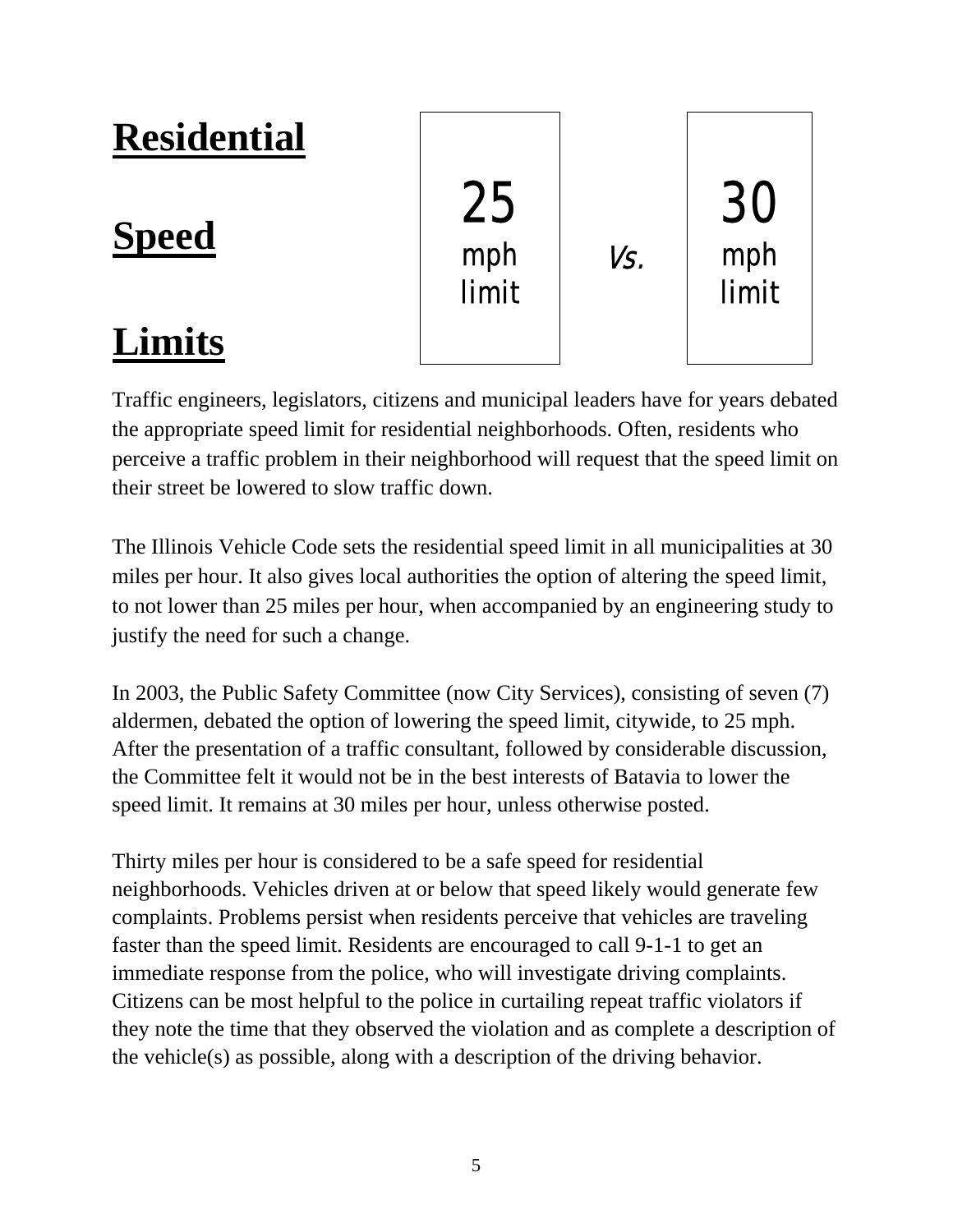#### **Residential** Speed mph / vs. **Limits** 25 mph limit 30 mph limit

Traffic engineers, legislators, citizens and municipal leaders have for years debated the appropriate speed limit for residential neighborhoods. Often, residents who perceive a traffic problem in their neighborhood will request that the speed limit on their street be lowered to slow traffic down.

The Illinois Vehicle Code sets the residential speed limit in all municipalities at 30 miles per hour. It also gives local authorities the option of altering the speed limit, to not lower than 25 miles per hour, when accompanied by an engineering study to justify the need for such a change.

In 2003, the Public Safety Committee (now City Services), consisting of seven (7) aldermen, debated the option of lowering the speed limit, citywide, to 25 mph. After the presentation of a traffic consultant, followed by considerable discussion, the Committee felt it would not be in the best interests of Batavia to lower the speed limit. It remains at 30 miles per hour, unless otherwise posted.

Thirty miles per hour is considered to be a safe speed for residential neighborhoods. Vehicles driven at or below that speed likely would generate few complaints. Problems persist when residents perceive that vehicles are traveling faster than the speed limit. Residents are encouraged to call 9-1-1 to get an immediate response from the police, who will investigate driving complaints. Citizens can be most helpful to the police in curtailing repeat traffic violators if they note the time that they observed the violation and as complete a description of the vehicle(s) as possible, along with a description of the driving behavior.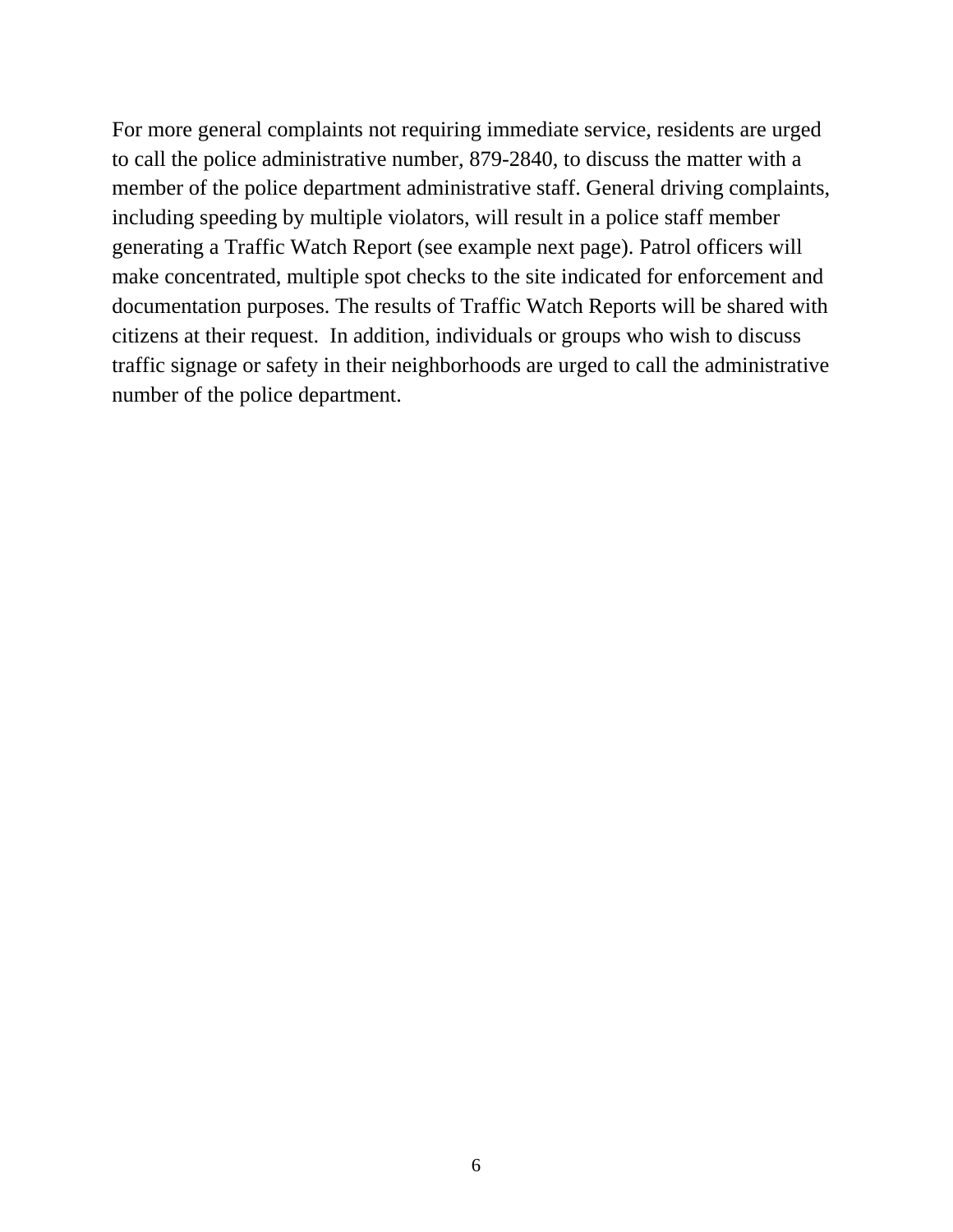For more general complaints not requiring immediate service, residents are urged to call the police administrative number, 879-2840, to discuss the matter with a member of the police department administrative staff. General driving complaints, including speeding by multiple violators, will result in a police staff member generating a Traffic Watch Report (see example next page). Patrol officers will make concentrated, multiple spot checks to the site indicated for enforcement and documentation purposes. The results of Traffic Watch Reports will be shared with citizens at their request. In addition, individuals or groups who wish to discuss traffic signage or safety in their neighborhoods are urged to call the administrative number of the police department.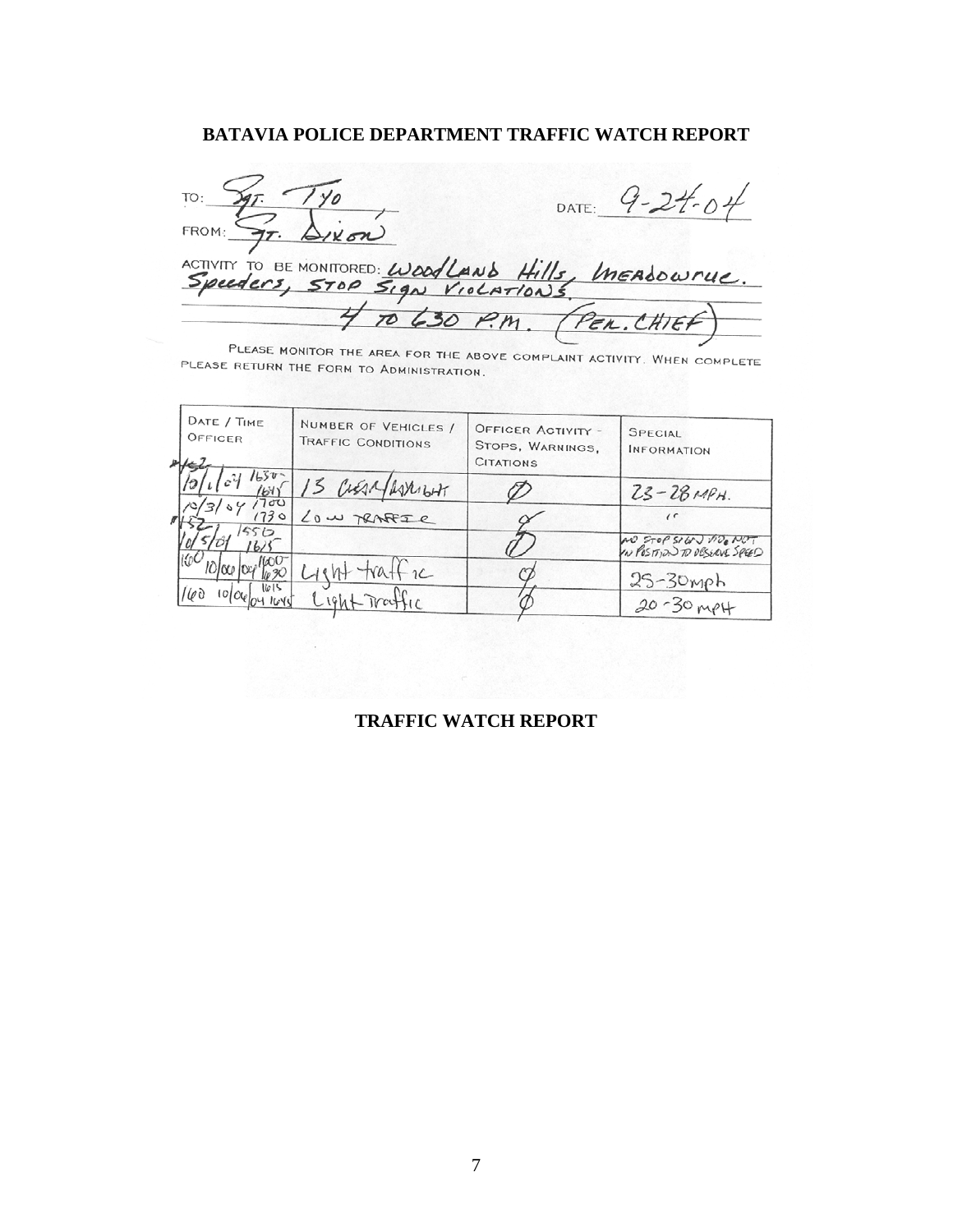#### **BATAVIA POLICE DEPARTMENT TRAFFIC WATCH REPORT**

|                                                       | DATE: $9 - 24 - 04$       |
|-------------------------------------------------------|---------------------------|
| FROM: $\frac{C_{T}}{T}$ . $\Delta x$                  |                           |
| ACTIVITY TO BE MONITORED: WoodLAND Hills, InEADOWNUC. |                           |
|                                                       | 4 TO 630 P.M. (PER.CHIEF) |

PLEASE MONITOR THE AREA FOR THE ABOVE COMPLAINT ACTIVITY. WHEN COMPLETE PLEASE RETURN THE TORM TO ADMINISTRATION.

 $\mathbf{f}$ 

| DATE / TIME<br>OFFICER | NUMBER OF VEHICLES /<br>TRAFFIC CONDITIONS | <b>OFFICER ACTIVITY -</b><br>STOPS, WARNINGS,<br><b>CITATIONS</b> | SPECIAL<br><b>INFORMATION</b>                         |
|------------------------|--------------------------------------------|-------------------------------------------------------------------|-------------------------------------------------------|
| $1241650 -$<br>1700    | CUEAR/ASXILIAT                             |                                                                   | $23 - 281494.$                                        |
| 730<br>5512            | Low TRAFFIC                                |                                                                   | $\prime$ (                                            |
|                        |                                            |                                                                   | AND STOP SIGN MD. NOT<br>IN POSITION TO DESERVE SPEED |
| 1615                   | eht traffic                                |                                                                   | $25 - 30$ mph                                         |
| 169<br>10000041040     | $L196+T18$                                 |                                                                   | $20 - 30 m$ PH                                        |

#### **TRAFFIC WATCH REPORT**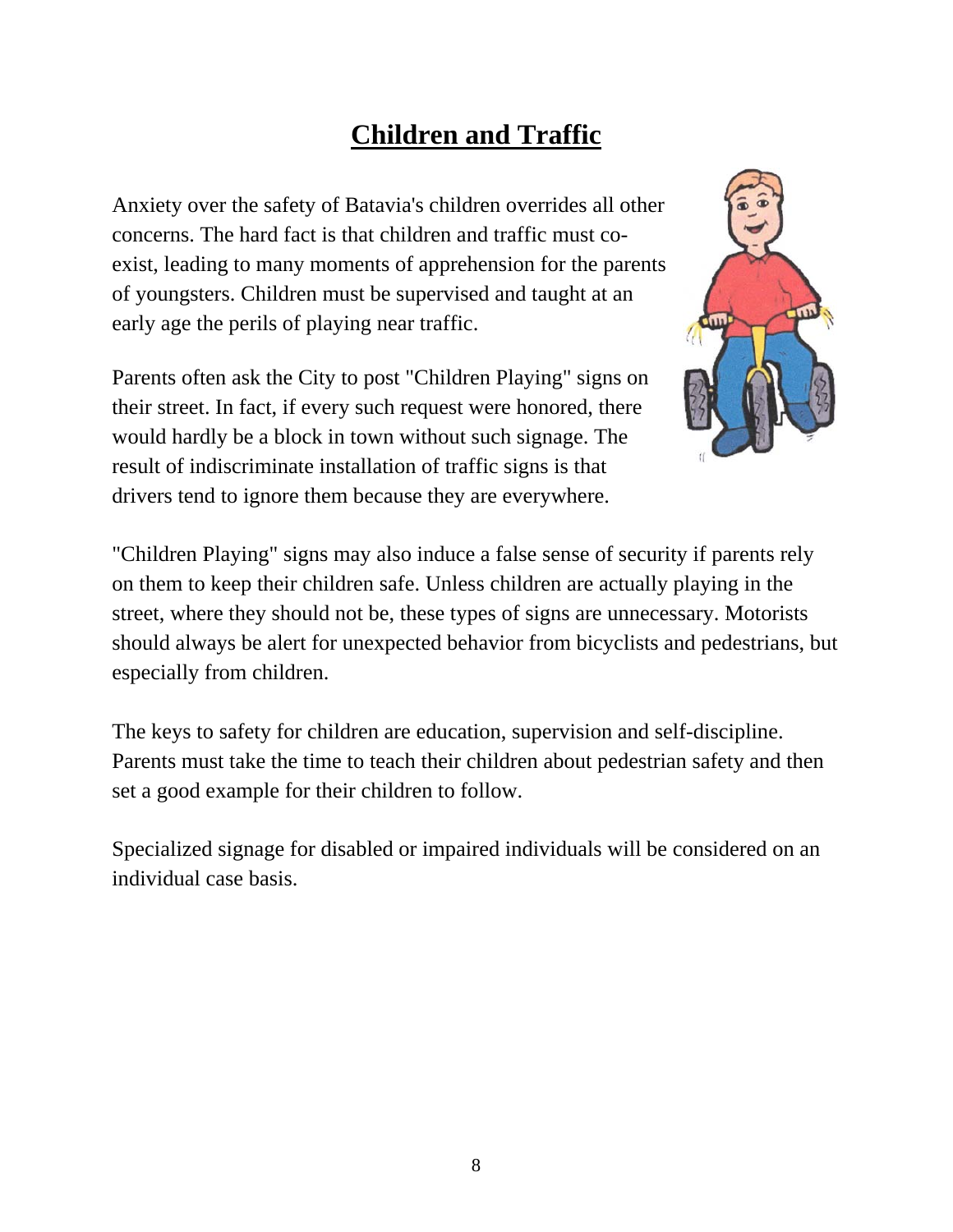# **Children and Traffic**

Anxiety over the safety of Batavia's children overrides all other concerns. The hard fact is that children and traffic must coexist, leading to many moments of apprehension for the parents of youngsters. Children must be supervised and taught at an early age the perils of playing near traffic.

Parents often ask the City to post "Children Playing" signs on their street. In fact, if every such request were honored, there would hardly be a block in town without such signage. The result of indiscriminate installation of traffic signs is that drivers tend to ignore them because they are everywhere.



"Children Playing" signs may also induce a false sense of security if parents rely on them to keep their children safe. Unless children are actually playing in the street, where they should not be, these types of signs are unnecessary. Motorists should always be alert for unexpected behavior from bicyclists and pedestrians, but especially from children.

The keys to safety for children are education, supervision and self-discipline. Parents must take the time to teach their children about pedestrian safety and then set a good example for their children to follow.

Specialized signage for disabled or impaired individuals will be considered on an individual case basis.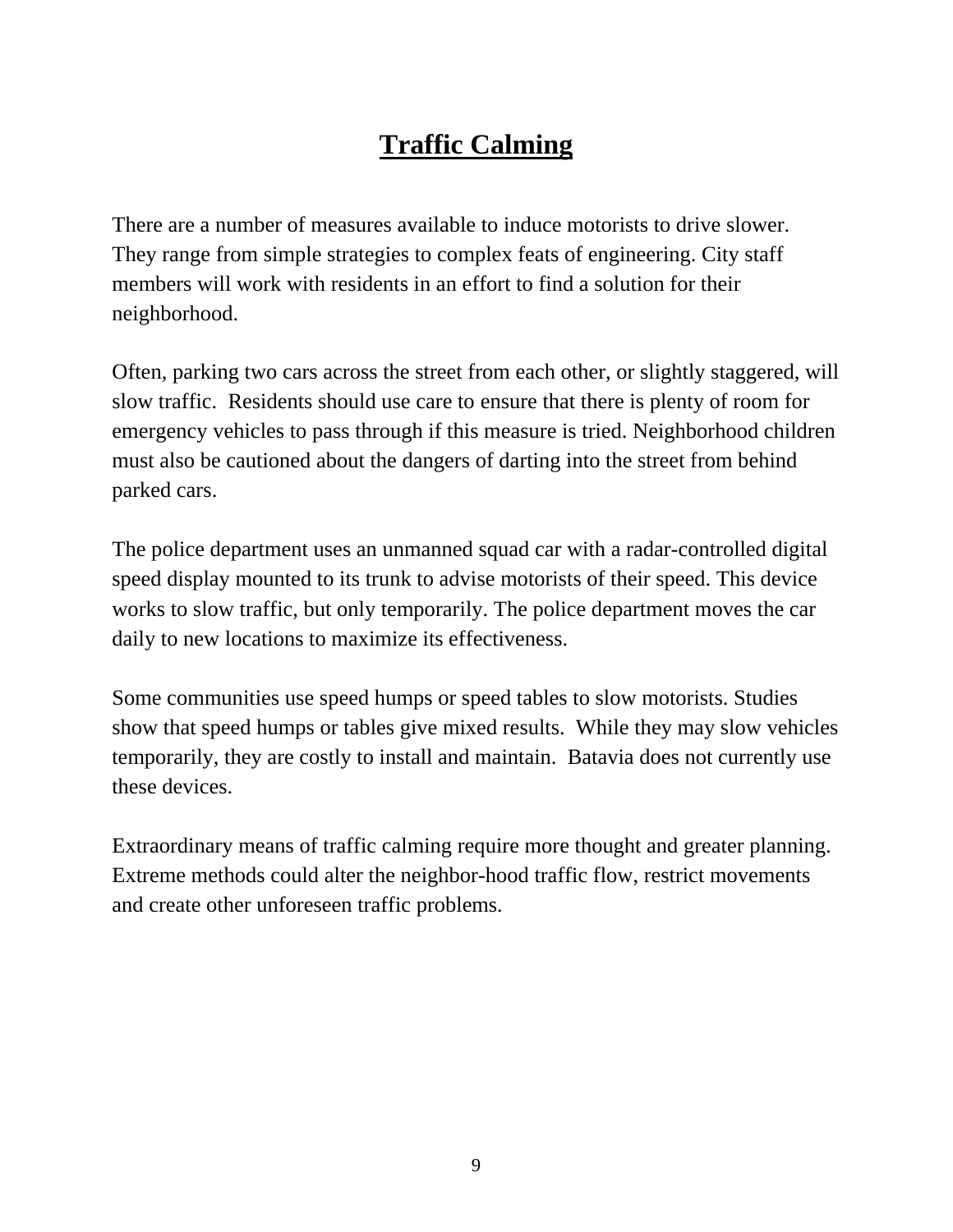# **Traffic Calming**

There are a number of measures available to induce motorists to drive slower. They range from simple strategies to complex feats of engineering. City staff members will work with residents in an effort to find a solution for their neighborhood.

Often, parking two cars across the street from each other, or slightly staggered, will slow traffic. Residents should use care to ensure that there is plenty of room for emergency vehicles to pass through if this measure is tried. Neighborhood children must also be cautioned about the dangers of darting into the street from behind parked cars.

The police department uses an unmanned squad car with a radar-controlled digital speed display mounted to its trunk to advise motorists of their speed. This device works to slow traffic, but only temporarily. The police department moves the car daily to new locations to maximize its effectiveness.

Some communities use speed humps or speed tables to slow motorists. Studies show that speed humps or tables give mixed results. While they may slow vehicles temporarily, they are costly to install and maintain. Batavia does not currently use these devices.

Extraordinary means of traffic calming require more thought and greater planning. Extreme methods could alter the neighbor-hood traffic flow, restrict movements and create other unforeseen traffic problems.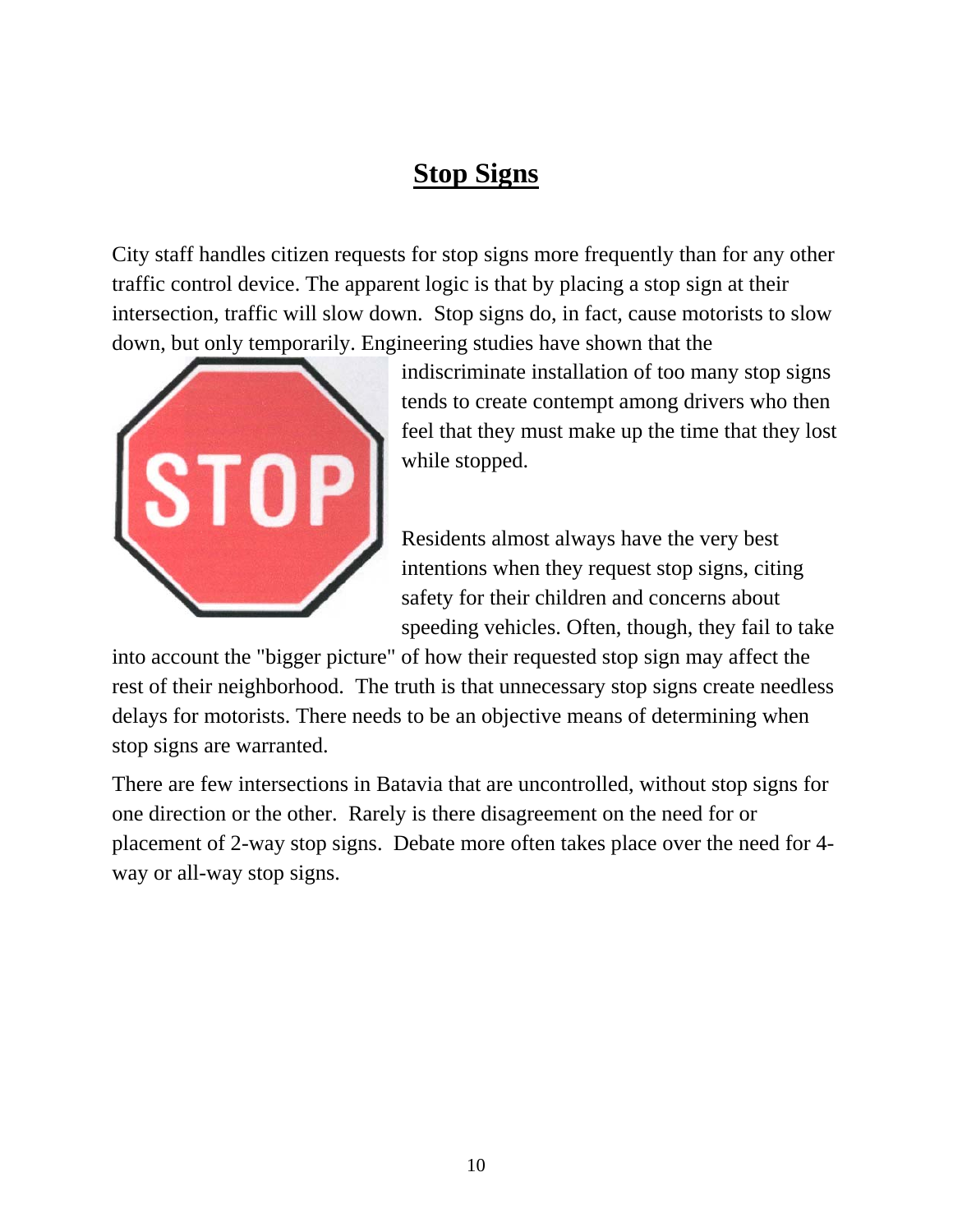## **Stop Signs**

City staff handles citizen requests for stop signs more frequently than for any other traffic control device. The apparent logic is that by placing a stop sign at their intersection, traffic will slow down. Stop signs do, in fact, cause motorists to slow down, but only temporarily. Engineering studies have shown that the



indiscriminate installation of too many stop signs tends to create contempt among drivers who then feel that they must make up the time that they lost while stopped.

Residents almost always have the very best intentions when they request stop signs, citing safety for their children and concerns about speeding vehicles. Often, though, they fail to take

into account the "bigger picture" of how their requested stop sign may affect the rest of their neighborhood. The truth is that unnecessary stop signs create needless delays for motorists. There needs to be an objective means of determining when stop signs are warranted.

There are few intersections in Batavia that are uncontrolled, without stop signs for one direction or the other. Rarely is there disagreement on the need for or placement of 2-way stop signs. Debate more often takes place over the need for 4 way or all-way stop signs.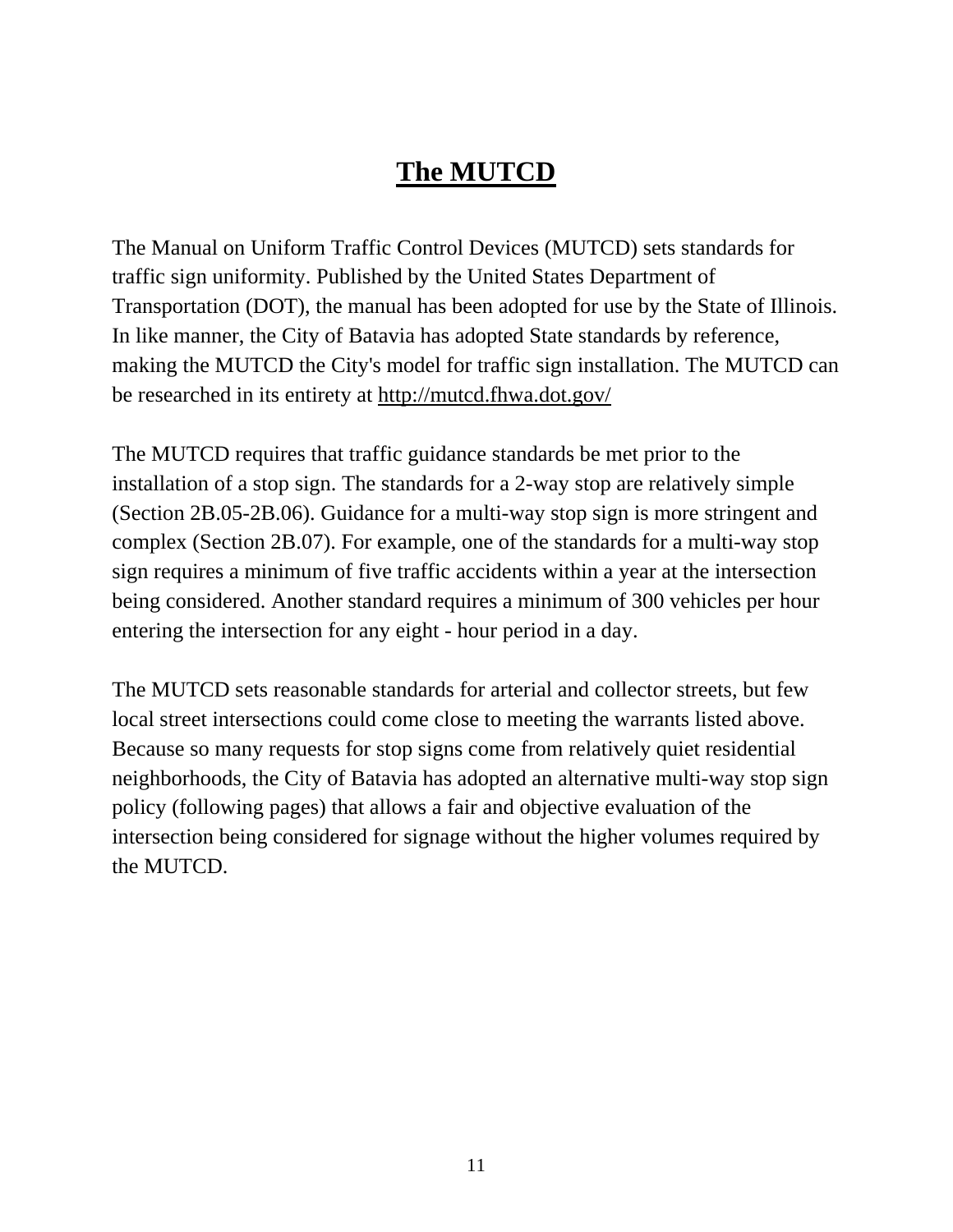# **The MUTCD**

The Manual on Uniform Traffic Control Devices (MUTCD) sets standards for traffic sign uniformity. Published by the United States Department of Transportation (DOT), the manual has been adopted for use by the State of Illinois. In like manner, the City of Batavia has adopted State standards by reference, making the MUTCD the City's model for traffic sign installation. The MUTCD can be researched in its entirety at http://mutcd.fhwa.dot.gov/

The MUTCD requires that traffic guidance standards be met prior to the installation of a stop sign. The standards for a 2-way stop are relatively simple (Section 2B.05-2B.06). Guidance for a multi-way stop sign is more stringent and complex (Section 2B.07). For example, one of the standards for a multi-way stop sign requires a minimum of five traffic accidents within a year at the intersection being considered. Another standard requires a minimum of 300 vehicles per hour entering the intersection for any eight - hour period in a day.

The MUTCD sets reasonable standards for arterial and collector streets, but few local street intersections could come close to meeting the warrants listed above. Because so many requests for stop signs come from relatively quiet residential neighborhoods, the City of Batavia has adopted an alternative multi-way stop sign policy (following pages) that allows a fair and objective evaluation of the intersection being considered for signage without the higher volumes required by the MUTCD.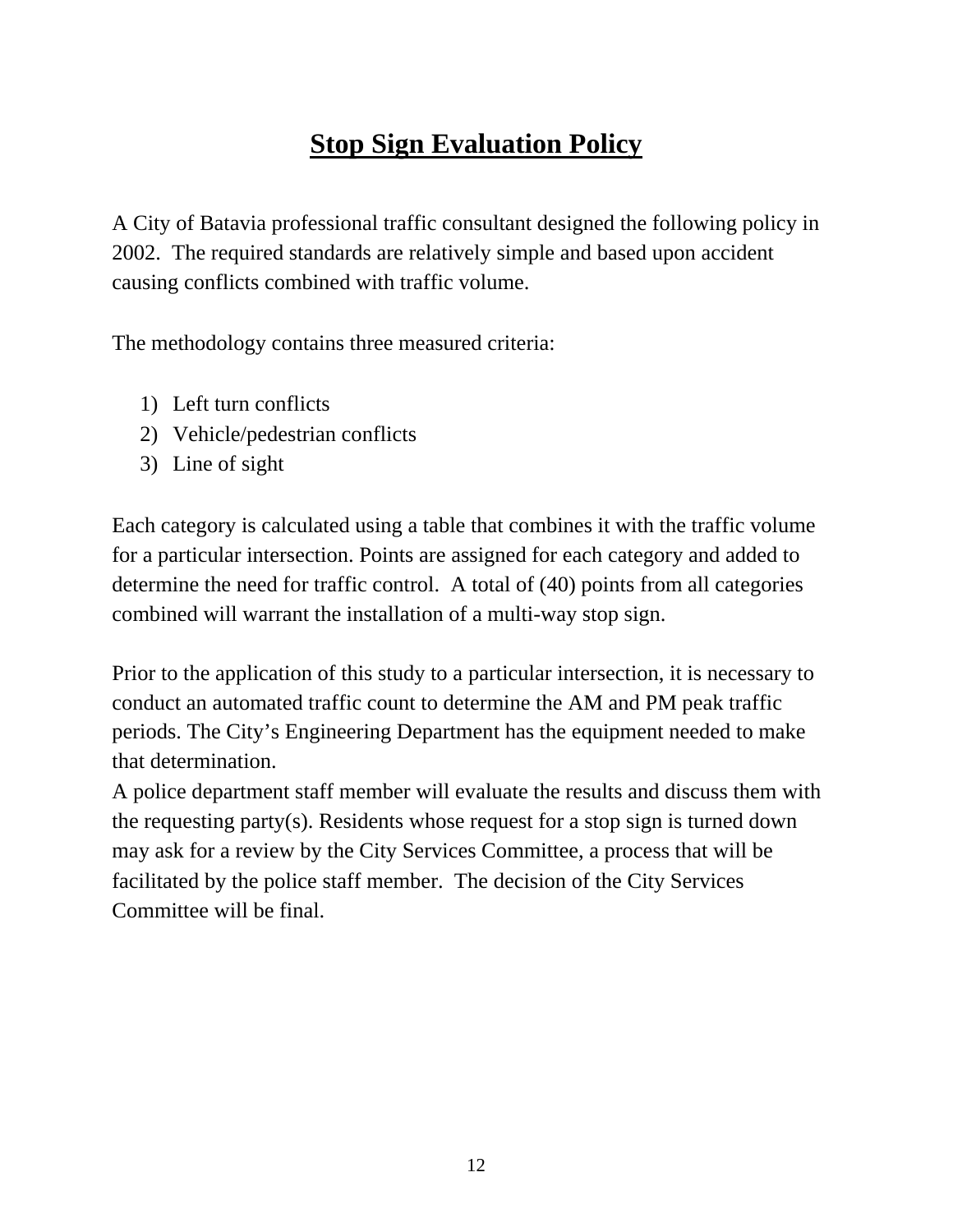# **Stop Sign Evaluation Policy**

A City of Batavia professional traffic consultant designed the following policy in 2002. The required standards are relatively simple and based upon accident causing conflicts combined with traffic volume.

The methodology contains three measured criteria:

- 1) Left turn conflicts
- 2) Vehicle/pedestrian conflicts
- 3) Line of sight

Each category is calculated using a table that combines it with the traffic volume for a particular intersection. Points are assigned for each category and added to determine the need for traffic control. A total of (40) points from all categories combined will warrant the installation of a multi-way stop sign.

Prior to the application of this study to a particular intersection, it is necessary to conduct an automated traffic count to determine the AM and PM peak traffic periods. The City's Engineering Department has the equipment needed to make that determination.

A police department staff member will evaluate the results and discuss them with the requesting party(s). Residents whose request for a stop sign is turned down may ask for a review by the City Services Committee, a process that will be facilitated by the police staff member. The decision of the City Services Committee will be final.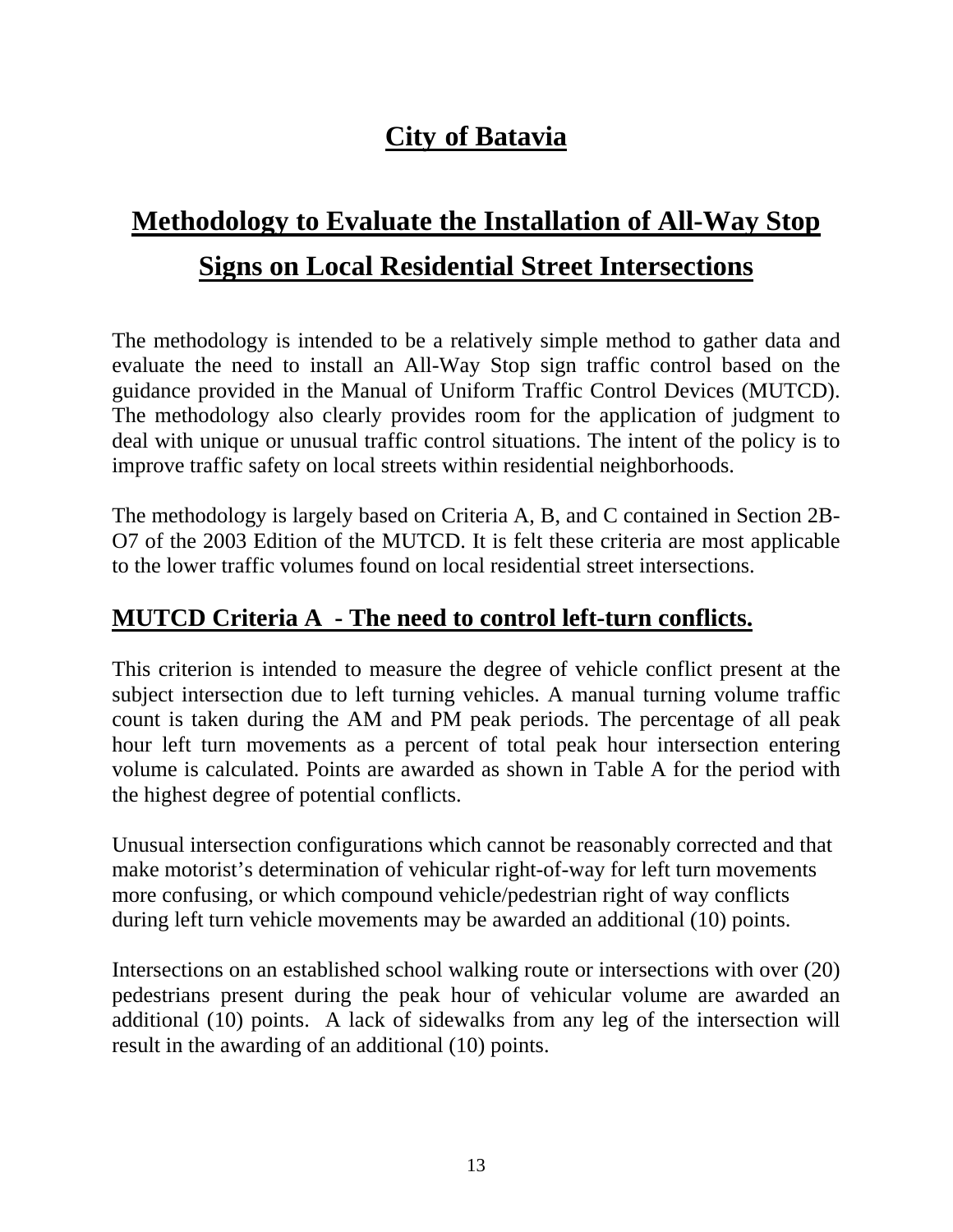## **City of Batavia**

# **Methodology to Evaluate the Installation of All-Way Stop Signs on Local Residential Street Intersections**

The methodology is intended to be a relatively simple method to gather data and evaluate the need to install an All-Way Stop sign traffic control based on the guidance provided in the Manual of Uniform Traffic Control Devices (MUTCD). The methodology also clearly provides room for the application of judgment to deal with unique or unusual traffic control situations. The intent of the policy is to improve traffic safety on local streets within residential neighborhoods.

The methodology is largely based on Criteria A, B, and C contained in Section 2B-O7 of the 2003 Edition of the MUTCD. It is felt these criteria are most applicable to the lower traffic volumes found on local residential street intersections.

#### **MUTCD Criteria A - The need to control left-turn conflicts.**

This criterion is intended to measure the degree of vehicle conflict present at the subject intersection due to left turning vehicles. A manual turning volume traffic count is taken during the AM and PM peak periods. The percentage of all peak hour left turn movements as a percent of total peak hour intersection entering volume is calculated. Points are awarded as shown in Table A for the period with the highest degree of potential conflicts.

Unusual intersection configurations which cannot be reasonably corrected and that make motorist's determination of vehicular right-of-way for left turn movements more confusing, or which compound vehicle/pedestrian right of way conflicts during left turn vehicle movements may be awarded an additional (10) points.

Intersections on an established school walking route or intersections with over (20) pedestrians present during the peak hour of vehicular volume are awarded an additional (10) points. A lack of sidewalks from any leg of the intersection will result in the awarding of an additional (10) points.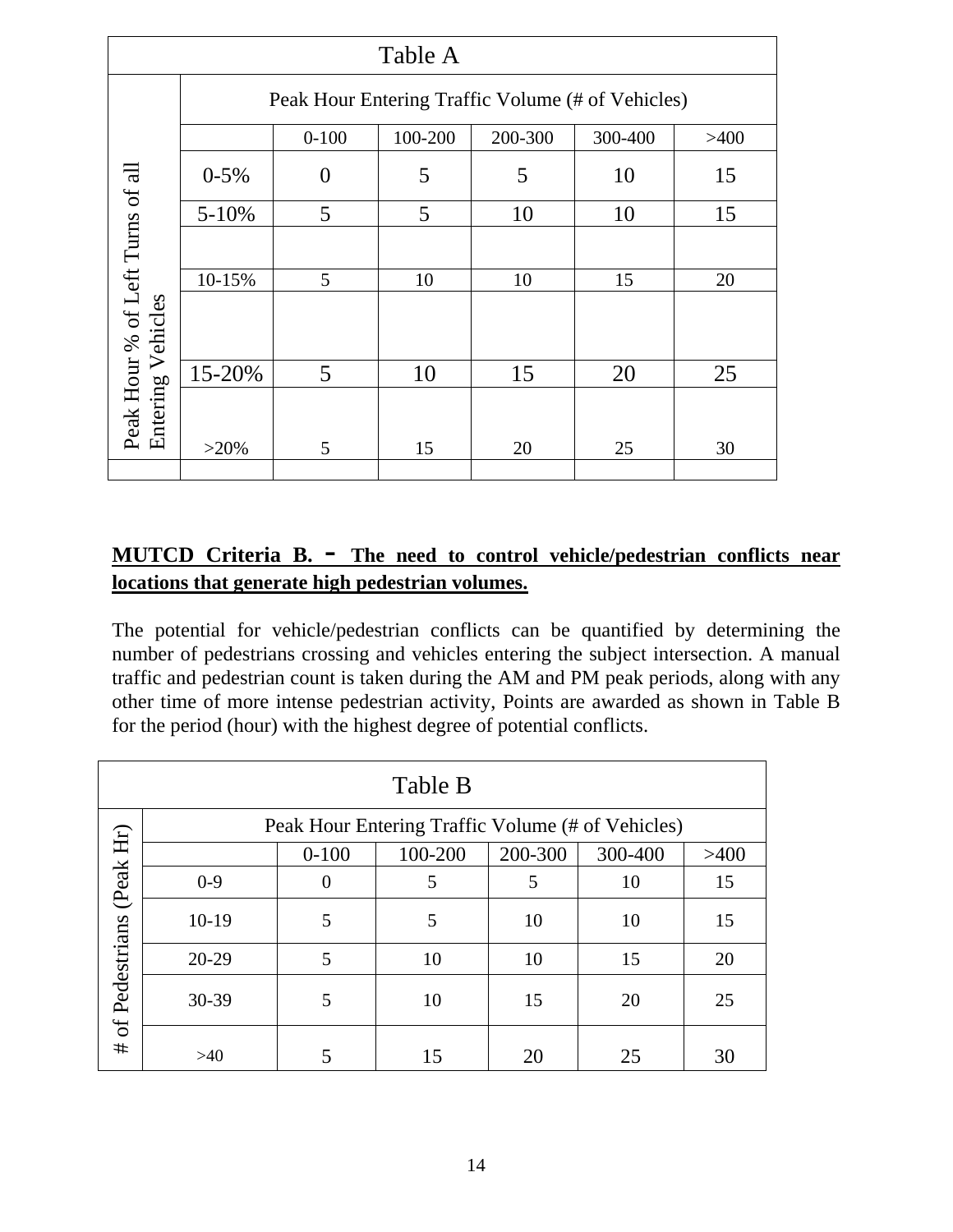| Table A                                      |                                                   |                |         |         |         |      |
|----------------------------------------------|---------------------------------------------------|----------------|---------|---------|---------|------|
|                                              | Peak Hour Entering Traffic Volume (# of Vehicles) |                |         |         |         |      |
|                                              |                                                   | $0 - 100$      | 100-200 | 200-300 | 300-400 | >400 |
|                                              | $0 - 5%$                                          | $\overline{0}$ | 5       | 5       | 10      | 15   |
|                                              | $5 - 10%$                                         | 5              | 5       | 10      | 10      | 15   |
|                                              |                                                   |                |         |         |         |      |
|                                              | 10-15%                                            | 5              | 10      | 10      | 15      | 20   |
| Peak Hour % of Left Turns of all<br>Vehicles |                                                   |                |         |         |         |      |
|                                              | 15-20%                                            | 5              | 10      | 15      | 20      | 25   |
| Entering                                     | $>20\%$                                           | 5              | 15      | 20      | 25      | 30   |
|                                              |                                                   |                |         |         |         |      |

#### **MUTCD Criteria B. - The need to control vehicle/pedestrian conflicts near locations that generate high pedestrian volumes.**

The potential for vehicle/pedestrian conflicts can be quantified by determining the number of pedestrians crossing and vehicles entering the subject intersection. A manual traffic and pedestrian count is taken during the AM and PM peak periods, along with any other time of more intense pedestrian activity, Points are awarded as shown in Table B for the period (hour) with the highest degree of potential conflicts.

| Table B                                           |         |           |         |         |         |      |
|---------------------------------------------------|---------|-----------|---------|---------|---------|------|
| Peak Hour Entering Traffic Volume (# of Vehicles) |         |           |         |         |         |      |
|                                                   |         | $0 - 100$ | 100-200 | 200-300 | 300-400 | >400 |
| (Peak Hr)                                         | $0 - 9$ | $\theta$  | 5       | 5       | 10      | 15   |
|                                                   | $10-19$ | 5         | 5       | 10      | 10      | 15   |
|                                                   | $20-29$ | 5         | 10      | 10      | 15      | 20   |
| # of Pedestrians                                  | 30-39   | 5         | 10      | 15      | 20      | 25   |
|                                                   | $>40$   |           |         | 20      | 25      | 30   |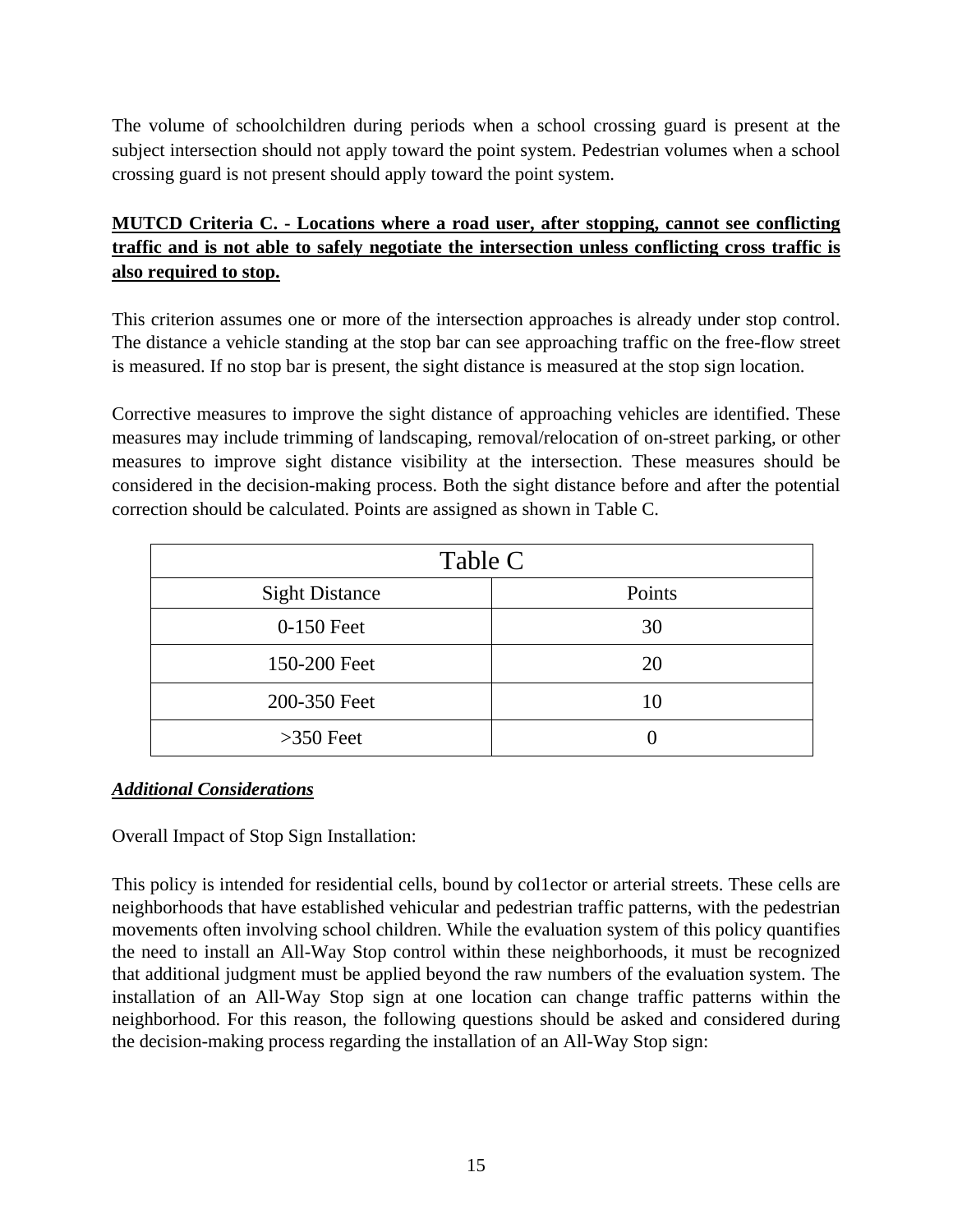The volume of schoolchildren during periods when a school crossing guard is present at the subject intersection should not apply toward the point system. Pedestrian volumes when a school crossing guard is not present should apply toward the point system.

#### **MUTCD Criteria C. - Locations where a road user, after stopping, cannot see conflicting traffic and is not able to safely negotiate the intersection unless conflicting cross traffic is also required to stop.**

This criterion assumes one or more of the intersection approaches is already under stop control. The distance a vehicle standing at the stop bar can see approaching traffic on the free-flow street is measured. If no stop bar is present, the sight distance is measured at the stop sign location.

Corrective measures to improve the sight distance of approaching vehicles are identified. These measures may include trimming of landscaping, removal/relocation of on-street parking, or other measures to improve sight distance visibility at the intersection. These measures should be considered in the decision-making process. Both the sight distance before and after the potential correction should be calculated. Points are assigned as shown in Table C.

| Table C               |        |  |
|-----------------------|--------|--|
| <b>Sight Distance</b> | Points |  |
| 0-150 Feet            | 30     |  |
| 150-200 Feet          | 20     |  |
| 200-350 Feet          | 10     |  |
| $>350$ Feet           |        |  |

#### *Additional Considerations*

Overall Impact of Stop Sign Installation:

This policy is intended for residential cells, bound by col1ector or arterial streets. These cells are neighborhoods that have established vehicular and pedestrian traffic patterns, with the pedestrian movements often involving school children. While the evaluation system of this policy quantifies the need to install an All-Way Stop control within these neighborhoods, it must be recognized that additional judgment must be applied beyond the raw numbers of the evaluation system. The installation of an All-Way Stop sign at one location can change traffic patterns within the neighborhood. For this reason, the following questions should be asked and considered during the decision-making process regarding the installation of an All-Way Stop sign: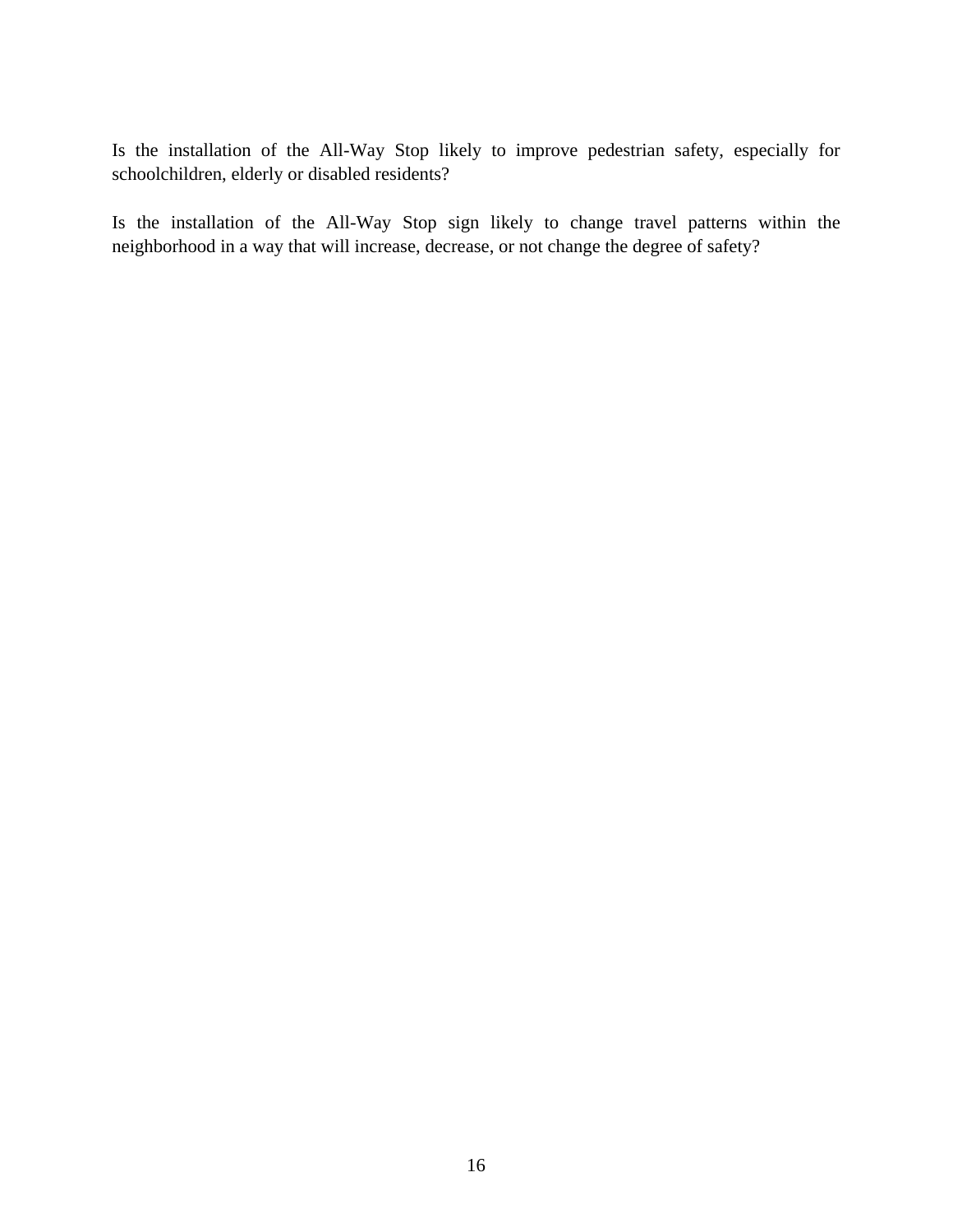Is the installation of the All-Way Stop likely to improve pedestrian safety, especially for schoolchildren, elderly or disabled residents?

Is the installation of the All-Way Stop sign likely to change travel patterns within the neighborhood in a way that will increase, decrease, or not change the degree of safety?